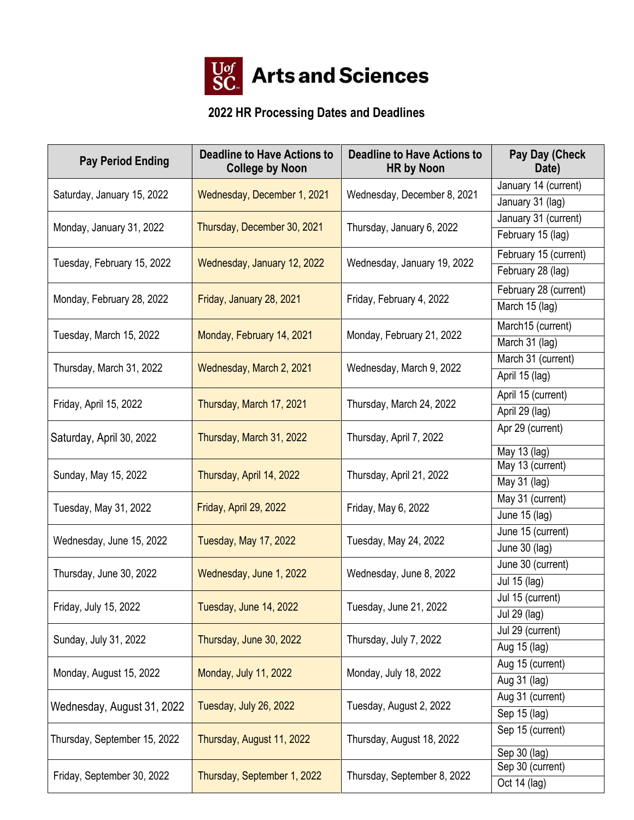

## **2022 HR Processing Dates and Deadlines**

| <b>Pay Period Ending</b>                        | <b>Deadline to Have Actions to</b><br><b>College by Noon</b> | <b>Deadline to Have Actions to</b><br><b>HR by Noon</b> | Pay Day (Check<br>Date) |
|-------------------------------------------------|--------------------------------------------------------------|---------------------------------------------------------|-------------------------|
| Saturday, January 15, 2022                      | Wednesday, December 1, 2021                                  | Wednesday, December 8, 2021                             | January 14 (current)    |
|                                                 |                                                              |                                                         | January 31 (lag)        |
| Monday, January 31, 2022                        | Thursday, December 30, 2021                                  | Thursday, January 6, 2022                               | January 31 (current)    |
|                                                 |                                                              |                                                         | February 15 (lag)       |
|                                                 | Wednesday, January 12, 2022                                  | Wednesday, January 19, 2022                             | February 15 (current)   |
| Tuesday, February 15, 2022                      |                                                              |                                                         | February 28 (lag)       |
| Monday, February 28, 2022                       | Friday, January 28, 2021                                     | Friday, February 4, 2022                                | February 28 (current)   |
|                                                 |                                                              |                                                         | March 15 (lag)          |
| Tuesday, March 15, 2022                         | Monday, February 14, 2021                                    | Monday, February 21, 2022                               | March15 (current)       |
|                                                 |                                                              |                                                         | March 31 (lag)          |
| Thursday, March 31, 2022                        | Wednesday, March 2, 2021                                     | Wednesday, March 9, 2022                                | March 31 (current)      |
|                                                 |                                                              |                                                         | April 15 (lag)          |
| Friday, April 15, 2022                          | Thursday, March 17, 2021                                     | Thursday, March 24, 2022                                | April 15 (current)      |
|                                                 |                                                              |                                                         | April 29 (lag)          |
| Saturday, April 30, 2022                        | Thursday, March 31, 2022                                     | Thursday, April 7, 2022                                 | Apr 29 (current)        |
|                                                 |                                                              |                                                         | May 13 (lag)            |
| Sunday, May 15, 2022                            | Thursday, April 14, 2022                                     | Thursday, April 21, 2022                                | May 13 (current)        |
|                                                 |                                                              |                                                         | May 31 (lag)            |
| Tuesday, May 31, 2022                           | Friday, April 29, 2022                                       | Friday, May 6, 2022                                     | May 31 (current)        |
|                                                 |                                                              |                                                         | June 15 (lag)           |
| Wednesday, June 15, 2022                        | <b>Tuesday, May 17, 2022</b>                                 | Tuesday, May 24, 2022                                   | June 15 (current)       |
|                                                 |                                                              |                                                         | June 30 (lag)           |
| Thursday, June 30, 2022                         | Wednesday, June 1, 2022                                      | Wednesday, June 8, 2022                                 | June 30 (current)       |
|                                                 |                                                              |                                                         | Jul 15 (lag)            |
| Tuesday, June 14, 2022<br>Friday, July 15, 2022 |                                                              | Tuesday, June 21, 2022                                  | Jul 15 (current)        |
|                                                 |                                                              | <b>Jul 29 (lag)</b>                                     |                         |
| Sunday, July 31, 2022                           | Thursday, June 30, 2022                                      | Thursday, July 7, 2022                                  | Jul 29 (current)        |
|                                                 |                                                              |                                                         | Aug 15 (lag)            |
| Monday, August 15, 2022                         | Monday, July 11, 2022                                        | Monday, July 18, 2022                                   | Aug 15 (current)        |
|                                                 |                                                              |                                                         | Aug 31 (lag)            |
| Wednesday, August 31, 2022                      | Tuesday, July 26, 2022                                       | Tuesday, August 2, 2022                                 | Aug 31 (current)        |
|                                                 |                                                              |                                                         | Sep 15 (lag)            |
| Thursday, September 15, 2022                    | Thursday, August 11, 2022                                    | Thursday, August 18, 2022                               | Sep 15 (current)        |
|                                                 |                                                              |                                                         | Sep 30 (lag)            |
| Friday, September 30, 2022                      | Thursday, September 1, 2022<br>Thursday, September 8, 2022   |                                                         | Sep 30 (current)        |
|                                                 |                                                              |                                                         | Oct 14 (lag)            |